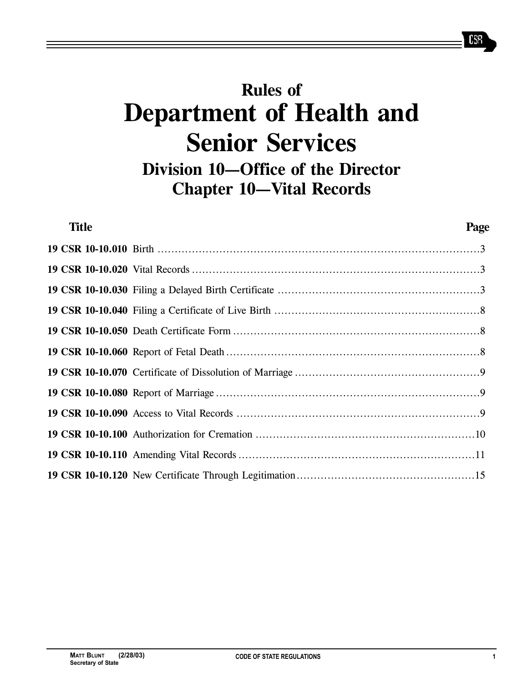# **Rules of Department of Health and Senior Services Division 10–Office of the Director Chapter 10–Vital Records**

| <b>Title</b> | Page |
|--------------|------|
|              |      |
|              |      |
|              |      |
|              |      |
|              |      |
|              |      |
|              |      |
|              |      |
|              |      |
|              |      |
|              |      |
|              |      |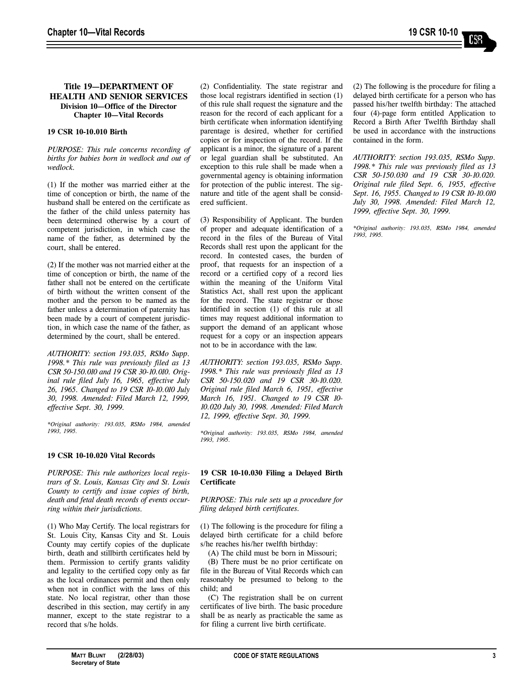# **Title 19–DEPARTMENT OF HEALTH AND SENIOR SERVICES Division 10–Office of the Director Chapter 10–Vital Records**

# **19 CSR 10-10.010 Birth**

*PURPOSE: This rule concerns recording of births for babies born in wedlock and out of wedlock.* 

(1) If the mother was married either at the time of conception or birth, the name of the husband shall be entered on the certificate as the father of the child unless paternity has been determined otherwise by a court of competent jurisdiction, in which case the name of the father, as determined by the court, shall be entered.

(2) If the mother was not married either at the time of conception or birth, the name of the father shall not be entered on the certificate of birth without the written consent of the mother and the person to be named as the father unless a determination of paternity has been made by a court of competent jurisdiction, in which case the name of the father, as determined by the court, shall be entered.

*AUTHORITY: section 193.035, RSMo Supp. 1998.\* This rule was previously filed as 13 CSR 50-150.010 and 19 CSR 30-10.010. Original rule filed July 16, 1965, effective July 26, 1965. Changed to 19 CSR 10-10.010 July 30, 1998. Amended: Filed March 12, 1999, effective Sept. 30, 1999.*

*\*Original authority: 193.035, RSMo 1984, amended 1993, 1995.*

# **19 CSR 10-10.020 Vital Records**

*PURPOSE: This rule authorizes local registrars of St. Louis, Kansas City and St. Louis County to certify and issue copies of birth, death and fetal death records of events occurring within their jurisdictions.* 

(1) Who May Certify. The local registrars for St. Louis City, Kansas City and St. Louis County may certify copies of the duplicate birth, death and stillbirth certificates held by them. Permission to certify grants validity and legality to the certified copy only as far as the local ordinances permit and then only when not in conflict with the laws of this state. No local registrar, other than those described in this section, may certify in any manner, except to the state registrar to a record that s/he holds.

(2) Confidentiality. The state registrar and those local registrars identified in section (1) of this rule shall request the signature and the reason for the record of each applicant for a birth certificate when information identifying parentage is desired, whether for certified copies or for inspection of the record. If the applicant is a minor, the signature of a parent or legal guardian shall be substituted. An exception to this rule shall be made when a governmental agency is obtaining information for protection of the public interest. The signature and title of the agent shall be considered sufficient.

(3) Responsibility of Applicant. The burden of proper and adequate identification of a record in the files of the Bureau of Vital Records shall rest upon the applicant for the record. In contested cases, the burden of proof, that requests for an inspection of a record or a certified copy of a record lies within the meaning of the Uniform Vital Statistics Act, shall rest upon the applicant for the record. The state registrar or those identified in section (1) of this rule at all times may request additional information to support the demand of an applicant whose request for a copy or an inspection appears not to be in accordance with the law.

*AUTHORITY: section 193.035, RSMo Supp. 1998.\* This rule was previously filed as 13 CSR 50-150.020 and 19 CSR 30-10.020. Original rule filed March 6, 1951, effective March 16, 1951. Changed to 19 CSR 10- 10.020 July 30, 1998. Amended: Filed March 12, 1999, effective Sept. 30, 1999.*

*\*Original authority: 193.035, RSMo 1984, amended 1993, 1995.*

# **19 CSR 10-10.030 Filing a Delayed Birth Certificate**

*PURPOSE: This rule sets up a procedure for filing delayed birth certificates.* 

(1) The following is the procedure for filing a delayed birth certificate for a child before s/he reaches his/her twelfth birthday:

(A) The child must be born in Missouri;

(B) There must be no prior certificate on file in the Bureau of Vital Records which can reasonably be presumed to belong to the child; and

(C) The registration shall be on current certificates of live birth. The basic procedure shall be as nearly as practicable the same as for filing a current live birth certificate.

(2) The following is the procedure for filing a delayed birth certificate for a person who has passed his/her twelfth birthday: The attached four (4)-page form entitled Application to Record a Birth After Twelfth Birthday shall be used in accordance with the instructions contained in the form.

*AUTHORITY: section 193.035, RSMo Supp. 1998.\* This rule was previously filed as 13 CSR 50-150.030 and 19 CSR 30-10.020. Original rule filed Sept. 6, 1955, effective Sept. 16, 1955. Changed to 19 CSR 10-10.010 July 30, 1998. Amended: Filed March 12, 1999, effective Sept. 30, 1999.*

*\*Original authority: 193.035, RSMo 1984, amended 1993, 1995.*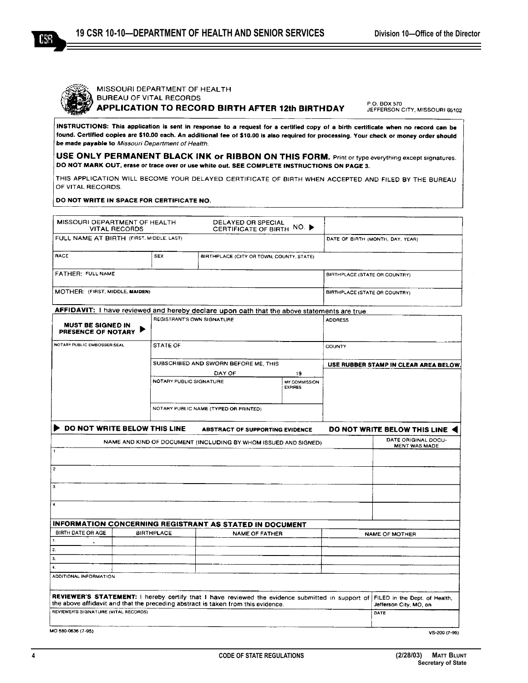

KR

# MISSOURI DEPARTMENT OF HEALTH **BUREAU OF VITAL RECORDS** APPLICATION TO RECORD BIRTH AFTER 12th BIRTHDAY

P.O. BOX 570 JEFFERSON CITY, MISSOURI 65102

INSTRUCTIONS: This application is sent in response to a request for a certified copy of a birth certificate when no record can be found. Certified copies are \$10.00 each. An additional fee of \$10.00 is also required for processing. Your check or money order should be made payable to Missouri Department of Health.

USE ONLY PERMANENT BLACK INK or RIBBON ON THIS FORM. Print or type everything except signatures. DO NOT MARK OUT, erase or trace over or use white out. SEE COMPLETE INSTRUCTIONS ON PAGE 3.

THIS APPLICATION WILL BECOME YOUR DELAYED CERTIFICATE OF BIRTH WHEN ACCEPTED AND FILED BY THE BUREAU OF VITAL RECORDS.

DO NOT WRITE IN SPACE FOR CERTIFICATE NO.

|                                                                                                                | <b>VITAL RECORDS</b> | MISSOURI DEPARTMENT OF HEALTH                          | DELAYED OR SPECIAL                                                                          | CERTIFICATE OF BIRTH NO. ▶      |                                       |                                                                                                                                |
|----------------------------------------------------------------------------------------------------------------|----------------------|--------------------------------------------------------|---------------------------------------------------------------------------------------------|---------------------------------|---------------------------------------|--------------------------------------------------------------------------------------------------------------------------------|
| FULL NAME AT BIRTH (FIRST, MIDDLE, LAST)                                                                       |                      |                                                        |                                                                                             |                                 | DATE OF BIRTH (MONTH, DAY, YEAR)      |                                                                                                                                |
| RACE                                                                                                           |                      | <b>SEX</b><br>BIRTHPLACE (CITY OR TOWN, COUNTY, STATE) |                                                                                             |                                 |                                       |                                                                                                                                |
| FATHER: FULL NAME                                                                                              |                      |                                                        |                                                                                             |                                 | <b>BIRTHPLACE (STATE OR COUNTRY)</b>  |                                                                                                                                |
| MOTHER: (FIRST, MIDDLE, MAIDEN)                                                                                |                      |                                                        |                                                                                             |                                 | BIRTHPLACE (STATE OR COUNTRY)         |                                                                                                                                |
|                                                                                                                |                      |                                                        | AFFIDAVIT: I have reviewed and hereby declare upon oath that the above statements are true. |                                 |                                       |                                                                                                                                |
| <b>MUST BE SIGNED IN</b><br>PRESENCE OF NOTARY                                                                 |                      | REGISTRANT'S OWN SIGNATURE                             |                                                                                             |                                 | <b>ADDRESS</b>                        |                                                                                                                                |
| NOTARY PUBLIC EMBOSSER SEAL                                                                                    |                      | STATE OF<br><b>COUNTY</b>                              |                                                                                             |                                 |                                       |                                                                                                                                |
|                                                                                                                |                      |                                                        | SUBSCRIBED AND SWORN BEFORE ME, THIS                                                        |                                 | USE RUBBER STAMP IN CLEAR AREA BELOW. |                                                                                                                                |
|                                                                                                                |                      |                                                        | DAY OF                                                                                      | 19                              |                                       |                                                                                                                                |
|                                                                                                                |                      |                                                        | NOTARY PUBLIC SIGNATURE                                                                     | MY COMMISSION<br><b>EXPIRES</b> |                                       |                                                                                                                                |
| NOTARY PUBLIC NAME (TYPED OR PRINTED)                                                                          |                      |                                                        |                                                                                             |                                 |                                       |                                                                                                                                |
| DO NOT WRITE BELOW THIS LINE                                                                                   |                      |                                                        | <b>ABSTRACT OF SUPPORTING EVIDENCE</b>                                                      |                                 |                                       | DO NOT WRITE BELOW THIS LINE                                                                                                   |
|                                                                                                                |                      |                                                        |                                                                                             |                                 |                                       |                                                                                                                                |
|                                                                                                                |                      |                                                        | NAME AND KIND OF DOCUMENT (INCLUDING BY WHOM ISSUED AND SIGNED)                             |                                 |                                       | DATE ORIGINAL DOCU-<br><b>MENT WAS MADE</b>                                                                                    |
|                                                                                                                |                      |                                                        |                                                                                             |                                 |                                       |                                                                                                                                |
|                                                                                                                |                      |                                                        |                                                                                             |                                 |                                       |                                                                                                                                |
|                                                                                                                |                      |                                                        |                                                                                             |                                 |                                       |                                                                                                                                |
|                                                                                                                |                      |                                                        |                                                                                             |                                 |                                       |                                                                                                                                |
|                                                                                                                |                      |                                                        |                                                                                             |                                 |                                       |                                                                                                                                |
|                                                                                                                |                      |                                                        |                                                                                             |                                 |                                       |                                                                                                                                |
| BIRTH DATE OR AGE                                                                                              |                      | <b>BIRTHPLACE</b>                                      | <b>INFORMATION CONCERNING REGISTRANT AS STATED IN DOCUMENT</b><br><b>NAME OF FATHER</b>     |                                 |                                       |                                                                                                                                |
|                                                                                                                |                      |                                                        |                                                                                             |                                 |                                       | NAME OF MOTHER                                                                                                                 |
|                                                                                                                |                      |                                                        |                                                                                             |                                 |                                       |                                                                                                                                |
|                                                                                                                |                      |                                                        |                                                                                             |                                 |                                       |                                                                                                                                |
|                                                                                                                |                      |                                                        |                                                                                             |                                 |                                       |                                                                                                                                |
|                                                                                                                |                      |                                                        |                                                                                             |                                 |                                       |                                                                                                                                |
| 1.<br>$\overline{c}$<br>3.<br>$\ddot{a}$<br>$\mathbf{1}$ .<br>2.<br>3.<br>$\ddot{a}$<br>ADDITIONAL INFORMATION |                      |                                                        | the above affidavit and that the preceding abstract is taken from this evidence.            |                                 |                                       | REVIEWER'S STATEMENT: I hereby certify that I have reviewed the evidence submitted in support of FILED in the Dept. of Health, |
| REVIEWER'S SIGNATURE (VITAL RECORDS)                                                                           |                      |                                                        |                                                                                             |                                 |                                       | Jefferson City, MO, on<br>DATE                                                                                                 |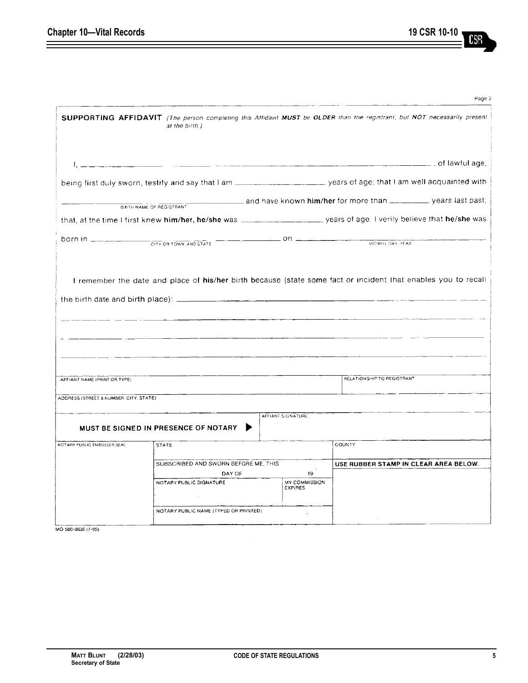$=$ 

|                                                    |                                                                                                                    |                                              | Page 2                                                                                                                                                                                                                                                                |
|----------------------------------------------------|--------------------------------------------------------------------------------------------------------------------|----------------------------------------------|-----------------------------------------------------------------------------------------------------------------------------------------------------------------------------------------------------------------------------------------------------------------------|
|                                                    | at the birth.)                                                                                                     |                                              | SUPPORTING AFFIDAVIT (The person completing this Affidavit MUST be OLDER than the registrant, but NOT necessarily present                                                                                                                                             |
|                                                    |                                                                                                                    |                                              |                                                                                                                                                                                                                                                                       |
|                                                    |                                                                                                                    |                                              |                                                                                                                                                                                                                                                                       |
|                                                    | BIRTH NAME OF REGISTRANT                                                                                           |                                              | and have known him/her for more than _________ years last past;                                                                                                                                                                                                       |
|                                                    |                                                                                                                    |                                              |                                                                                                                                                                                                                                                                       |
| <b>born in Example 2011</b> CITY OR TOWN AND STATE |                                                                                                                    |                                              | MONTH, DAY, YEAR                                                                                                                                                                                                                                                      |
| AFFIANT NAME (PRINT OR TYPE)                       |                                                                                                                    |                                              | I remember the date and place of his/her birth because (state some fact or incident that enables you to recall<br><u> 1980 - Jan Barat, primeira estatubat eta primeira eta primeira eta primeira eta primeira eta primeira eta pri</u><br>RELATIONSHIP TO REGISTRANT |
|                                                    |                                                                                                                    |                                              |                                                                                                                                                                                                                                                                       |
| ADDRESS (STREET & NUMBER, CITY, STATE)             |                                                                                                                    |                                              |                                                                                                                                                                                                                                                                       |
|                                                    | MUST BE SIGNED IN PRESENCE OF NOTARY                                                                               | AFFIANT SIGNATURE                            |                                                                                                                                                                                                                                                                       |
| NOTARY PUBLIC EMBOSSER SEAL.                       | <b>STATE</b>                                                                                                       |                                              | <b>COUNTY</b>                                                                                                                                                                                                                                                         |
|                                                    | SUBSCRIBED AND SWORN BEFORE ME, THIS<br>DAY OF<br>NOTARY PUBLIC SIGNATURE<br>NOTARY PUBLIC NAME (TYPED OR PRINTED) | 19<br><b>MY COMMISSION</b><br><b>EXPIRES</b> | USE RUBBER STAMP IN CLEAR AREA BELOW.                                                                                                                                                                                                                                 |
|                                                    |                                                                                                                    |                                              |                                                                                                                                                                                                                                                                       |

MO 580-0636 (7-95)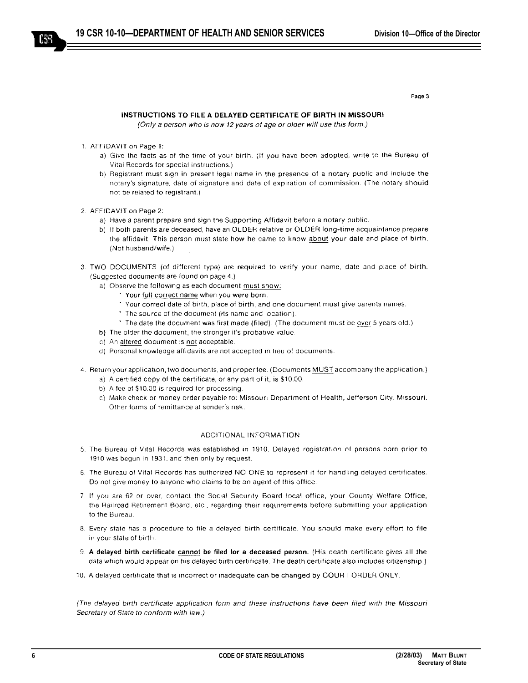Page 3

(Only a person who is now 12 years of age or older will use this form.)

- 1. AFFIDAVIT on Page 1:
	- a) Give the facts as of the time of your birth. (If you have been adopted, write to the Bureau of Vital Records for special instructions.)
	- b) Registrant must sign in present legal name in the presence of a notary public and include the notary's signature, date of signature and date of expiration of commission. (The notary should not be related to registrant.)
- 2. AFFIDAVIT on Page 2:
	- a) Have a parent prepare and sign the Supporting Affidavit before a notary public.
	- b) If both parents are deceased, have an OLDER relative or OLDER long-time acquaintance prepare the affidavit. This person must state how he came to know about your date and place of birth. (Not husband/wife.)
- 3. TWO DOCUMENTS (of different type) are required to verify your name, date and place of birth. (Suggested documents are found on page 4.)
	- a) Observe the following as each document must show:
		- \* Your full correct name when you were born.
		- \* Your correct date of birth, place of birth, and one document must give parents names.
		- \* The source of the document (its name and location).
		- \* The date the document was first made (filed). (The document must be over 5 years old.)
	- b) The older the document, the stronger it's probative value.
	- c) An altered document is not acceptable.
	- d) Personal knowledge affidavits are not accepted in lieu of documents.
- 4. Return your application, two documents, and proper fee. (Documents MUST accompany the application.)
	- a) A certified copy of the certificate, or any part of it, is \$10.00.
	- b) A fee of \$10.00 is required for processing.
	- c) Make check or money order payable to: Missouri Department of Health, Jefferson City, Missouri. Other forms of remittance at sender's risk.

# ADDITIONAL INFORMATION

- 5. The Bureau of Vital Records was established in 1910. Delayed registration of persons born prior to 1910 was begun in 1931, and then only by request.
- 6. The Bureau of Vital Records has authorized NO ONE to represent it for handling delayed certificates. Do not give money to anyone who claims to be an agent of this office.
- 7. If you are 62 or over, contact the Social Security Board local office, your County Welfare Office, the Railroad Retirement Board, etc., regarding their requirements before submitting your application to the Bureau.
- 8. Every state has a procedure to file a delayed birth certificate. You should make every effort to file in your state of birth.
- 9. A delayed birth certificate cannot be filed for a deceased person. (His death certificate gives all the data which would appear on his delayed birth certificate. The death certificate also includes citizenship.)
- 10. A delayed certificate that is incorrect or inadequate can be changed by COURT ORDER ONLY.

(The delayed birth certificate application form and these instructions have been filed with the Missouri Secretary of State to conform with law.)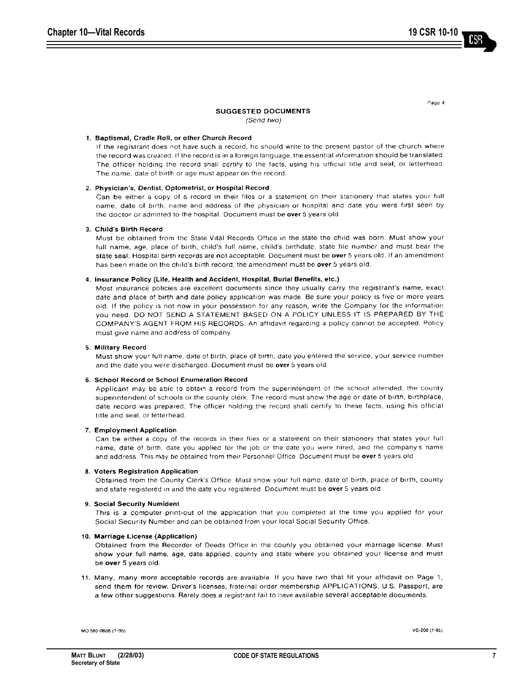Page 4

# **SUGGESTED DOCUMENTS**

(Send two)

## 1. Baptismal, Cradle Roll, or other Church Record

If the registrant does not have such a record, he should write to the present pastor of the church where the record was created. If the record is in a foreign language, the essential information should be translated. The officer holding the record shall certify to the facts, using his official title and seal, or letterhead. The name, date of birth or age must appear on the record.

#### 2. Physician's, Dentist, Optometrist, or Hospital Record

Can be either a copy of a record in their files or a statement on their stationery that states your full name, date of birth, name and address of the physician or hospital and date you were first seen by the doctor or admitted to the hospital. Document must be over 5 years old.

## 3. Child's Birth Record

Must be obtained from the State Vital Records Office in the state the child was born. Must show your full name, age, place of birth, child's full name, child's birthdate, state file number and must bear the state seal. Hospital birth records are not acceptable. Document must be over 5 years old. If an amendment has been made on the child's birth record, the amendment must be over 5 years old.

#### 4. Insurance Policy (Life, Health and Accident, Hospital, Burial Benefits, etc.)

Most insurance policies are excellent documents since they usually carry the registrant's name, exact date and place of birth and date policy application was made. Be sure your policy is five or more years old. If the policy is not now in your possession for any reason, write the Company for the information you need. DO NOT SEND A STATEMENT BASED ON A POLICY UNLESS IT IS PREPARED BY THE COMPANY'S AGENT FROM HIS RECORDS. An affidavit regarding a policy cannot be accepted. Policy must give name and address of company.

## 5. Military Record

Must show your full name, date of birth, place of birth, date you entered the service, your service number and the date you were discharged. Document must be over 5 years old.

#### 6. School Record or School Enumeration Record

Applicant may be able to obtain a record from the superintendent of the school attended, the county superintendent of schools or the county clerk. The record must show the age or date of birth, birthplace, date record was prepared. The officer holding the record shall certify to these facts, using his official title and seal, or letterhead.

#### 7. Employment Application

Can be either a copy of the records in their files or a statement on their stationery that states your full name, date of birth, date you applied for the job or the date you were hired, and the company's name and address. This may be obtained from their Personnel Office. Document must be over 5 years old.

## 8. Voters Registration Application

Obtained from the County Clerk's Office. Must show your full name, date of birth, place of birth, county and state registered in and the date you registered. Document must be over 5 years old.

## 9. Social Security Numident

This is a computer print-out of the application that you completed at the time you applied for your Social Security Number and can be obtained from your local Social Security Office.

## 10. Marriage License (Application)

Obtained from the Recorder of Deeds Office in the county you obtained your marriage license. Must show your full name, age, date applied, county and state where you obtained your license and must be over 5 years old.

11. Many, many more acceptable records are available. If you have two that fit your affidavit on Page 1, send them for review. Driver's licenses, fraternal order membership APPLICATIONS, U.S. Passport, are a few other suggestions. Rarely does a registrant fail to have available several acceptable documents.

MO 580-0636 (7-95)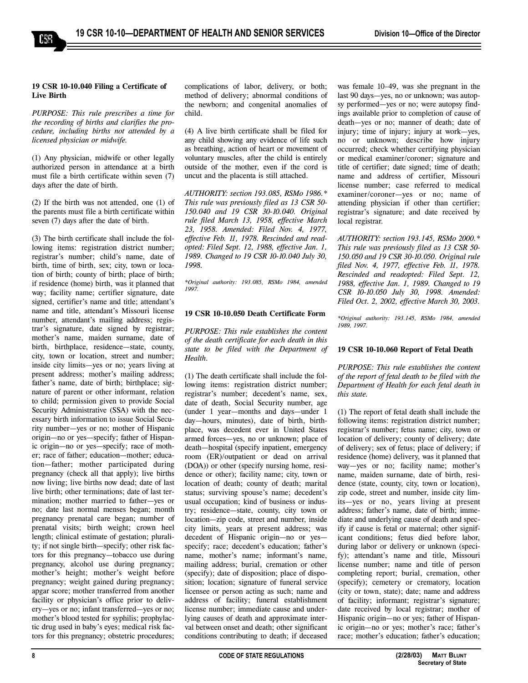## **19 CSR 10-10.040 Filing a Certificate of Live Birth**

 $c_{\rm SB}$ 

*PURPOSE: This rule prescribes a time for the recording of births and clarifies the procedure, including births not attended by a licensed physician or midwife.*

(1) Any physician, midwife or other legally authorized person in attendance at a birth must file a birth certificate within seven (7) days after the date of birth.

(2) If the birth was not attended, one (1) of the parents must file a birth certificate within seven (7) days after the date of birth.

(3) The birth certificate shall include the following items: registration district number; registrar's number; child's name, date of birth, time of birth, sex; city, town or location of birth; county of birth; place of birth; if residence (home) birth, was it planned that way; facility name; certifier signature, date signed, certifier's name and title; attendant's name and title, attendant's Missouri license number, attendant's mailing address; registrar's signature, date signed by registrar; mother's name, maiden surname, date of birth, birthplace, residence—state, county, city, town or location, street and number; inside city limits—yes or no; years living at present address; mother's mailing address; father's name, date of birth; birthplace; signature of parent or other informant, relation to child; permission given to provide Social Security Administrative (SSA) with the necessary birth information to issue Social Security number—yes or no; mother of Hispanic origin-no or yes-specify; father of Hispanic origin—no or yes—specify; race of mother; race of father; education-mother; education–father; mother participated during pregnancy (check all that apply); live births now living; live births now dead; date of last live birth; other terminations; date of last termination; mother married to father-yes or no; date last normal menses began; month pregnancy prenatal care began; number of prenatal visits; birth weight; crown heel length; clinical estimate of gestation; plurality; if not single birth—specify; other risk factors for this pregnancy-tobacco use during pregnancy, alcohol use during pregnancy; mother's height; mother's weight before pregnancy; weight gained during pregnancy; apgar score; mother transferred from another facility or physician's office prior to delivery—yes or no; infant transferred—yes or no; mother's blood tested for syphilis; prophylactic drug used in baby's eyes; medical risk factors for this pregnancy; obstetric procedures;

complications of labor, delivery, or both; method of delivery; abnormal conditions of the newborn; and congenital anomalies of child.

(4) A live birth certificate shall be filed for any child showing any evidence of life such as breathing, action of heart or movement of voluntary muscles, after the child is entirely outside of the mother, even if the cord is uncut and the placenta is still attached.

*AUTHORITY: section 193.085, RSMo 1986.\* This rule was previously filed as 13 CSR 50- 150.040 and 19 CSR 30-10.040. Original rule filed March 13, 1958, effective March 23, 1958. Amended: Filed Nov. 4, 1977, effective Feb. 11, 1978. Rescinded and readopted: Filed Sept. 12, 1988, effective Jan. 1, 1989. Changed to 19 CSR 10-10.040 July 30, 1998.*

*\*Original authority: 193.085, RSMo 1984, amended 1997.*

# **19 CSR 10-10.050 Death Certificate Form**

*PURPOSE: This rule establishes the content of the death certificate for each death in this state to be filed with the Department of Health.* 

(1) The death certificate shall include the following items: registration district number; registrar's number; decedent's name, sex, date of death, Social Security number, age (under  $1$  year-months and days-under  $1$ day—hours, minutes), date of birth, birthplace, was decedent ever in United States armed forces—yes, no or unknown; place of death—hospital (specify inpatient, emergency room (ER)/outpatient or dead on arrival (DOA)) or other (specify nursing home, residence or other); facility name; city, town or location of death; county of death; marital status; surviving spouse's name; decedent's usual occupation; kind of business or industry; residence—state, county, city town or location-zip code, street and number, inside city limits, years at present address; was decedent of Hispanic origin-no or yesspecify; race; decedent's education; father's name, mother's name; informant's name, mailing address; burial, cremation or other (specify); date of disposition; place of disposition; location; signature of funeral service licensee or person acting as such; name and address of facility; funeral establishment license number; immediate cause and underlying causes of death and approximate interval between onset and death; other significant conditions contributing to death; if deceased

was female  $10-49$ , was she pregnant in the last 90 days—yes, no or unknown; was autopsy performed—yes or no; were autopsy findings available prior to completion of cause of death-yes or no; manner of death; date of injury; time of injury; injury at work-yes, no or unknown; describe how injury occurred; check whether certifying physician or medical examiner/coroner; signature and title of certifier; date signed; time of death; name and address of certifier, Missouri license number; case referred to medical examiner/coroner-yes or no; name of attending physician if other than certifier; registrar's signature; and date received by local registrar.

*AUTHORITY: section 193.145, RSMo 2000.\* This rule was previously filed as 13 CSR 50- 150.050 and 19 CSR 30-10.050. Original rule filed Nov. 4, 1977, effective Feb. 11, 1978. Rescinded and readopted: Filed Sept. 12, 1988, effective Jan. 1, 1989. Changed to 19 CSR 10-10.050 July 30, 1998. Amended: Filed Oct. 2, 2002, effective March 30, 2003.* 

*\*Original authority: 193.145, RSMo 1984, amended 1989, 1997.*

## **19 CSR 10-10.060 Report of Fetal Death**

*PURPOSE: This rule establishes the content of the report of fetal death to be filed with the Department of Health for each fetal death in this state.*

(1) The report of fetal death shall include the following items: registration district number; registrar's number; fetus name; city, town or location of delivery; county of delivery; date of delivery; sex of fetus; place of delivery; if residence (home) delivery, was it planned that way-yes or no; facility name; mother's name, maiden surname, date of birth, residence (state, county, city, town or location), zip code, street and number, inside city limits-yes or no, years living at present address; father's name, date of birth; immediate and underlying cause of death and specify if cause is fetal or maternal; other significant conditions; fetus died before labor, during labor or delivery or unknown (specify); attendant's name and title, Missouri license number; name and title of person completing report; burial, cremation, other (specify); cemetery or crematory, location (city or town, state); date; name and address of facility; informant; registrar's signature; date received by local registrar; mother of Hispanic origin—no or yes; father of Hispanic origin—no or yes; mother's race; father's race; mother's education; father's education;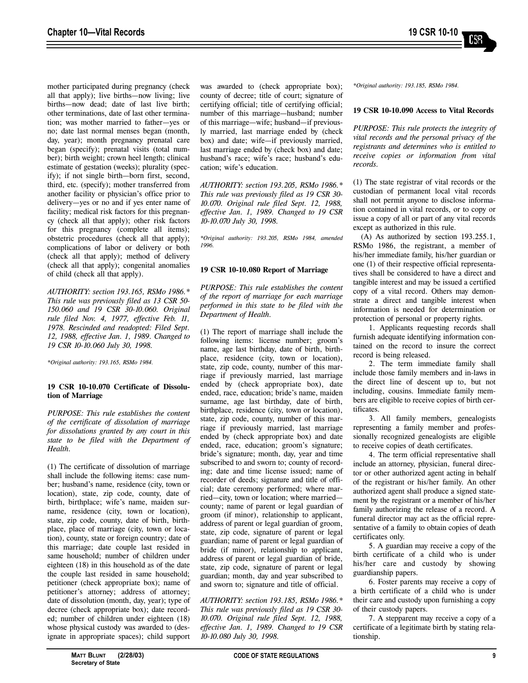mother participated during pregnancy (check all that apply); live births—now living; live births-now dead; date of last live birth; other terminations, date of last other termination; was mother married to father-yes or no; date last normal menses began (month, day, year); month pregnancy prenatal care began (specify); prenatal visits (total number); birth weight; crown heel length; clinical estimate of gestation (weeks); plurality (specify); if not single birth—born first, second, third, etc. (specify); mother transferred from another facility or physician's office prior to delivery-yes or no and if yes enter name of facility; medical risk factors for this pregnancy (check all that apply); other risk factors for this pregnancy (complete all items); obstetric procedures (check all that apply); complications of labor or delivery or both (check all that apply); method of delivery (check all that apply); congenital anomalies of child (check all that apply).

*AUTHORITY: section 193.165, RSMo 1986.\* This rule was previously filed as 13 CSR 50- 150.060 and 19 CSR 30-10.060. Original rule filed Nov. 4, 1977, effective Feb. 11, 1978. Rescinded and readopted: Filed Sept. 12, 1988, effective Jan. 1, 1989*. *Changed to 19 CSR 10-10.060 July 30, 1998.*

*\*Original authority: 193.165, RSMo 1984.*

# **19 CSR 10-10.070 Certificate of Dissolution of Marriage**

*PURPOSE: This rule establishes the content of the certificate of dissolution of marriage for dissolutions granted by any court in this state to be filed with the Department of Health.*

(1) The certificate of dissolution of marriage shall include the following items: case number; husband's name, residence (city, town or location), state, zip code, county, date of birth, birthplace; wife's name, maiden surname, residence (city, town or location), state, zip code, county, date of birth, birthplace, place of marriage (city, town or location), county, state or foreign country; date of this marriage; date couple last resided in same household; number of children under eighteen (18) in this household as of the date the couple last resided in same household; petitioner (check appropriate box); name of petitioner's attorney; address of attorney; date of dissolution (month, day, year); type of decree (check appropriate box); date recorded; number of children under eighteen (18) whose physical custody was awarded to (designate in appropriate spaces); child support

was awarded to (check appropriate box); county of decree; title of court; signature of certifying official; title of certifying official; number of this marriage—husband; number of this marriage—wife; husband—if previously married, last marriage ended by (check box) and date; wife-if previously married, last marriage ended by (check box) and date; husband's race; wife's race; husband's education; wife's education.

*AUTHORITY: section 193.205, RSMo 1986.\* This rule was previously filed as 19 CSR 30- 10.070. Original rule filed Sept. 12, 1988, effective Jan. 1, 1989. Changed to 19 CSR 10-10.070 July 30, 1998.*

*\*Original authority: 193.205, RSMo 1984, amended 1996.*

## **19 CSR 10-10.080 Report of Marriage**

*PURPOSE: This rule establishes the content of the report of marriage for each marriage performed in this state to be filed with the Department of Health.* 

(1) The report of marriage shall include the following items: license number; groom's name, age last birthday, date of birth, birthplace, residence (city, town or location), state, zip code, county, number of this marriage if previously married, last marriage ended by (check appropriate box), date ended, race, education; bride's name, maiden surname, age last birthday, date of birth, birthplace, residence (city, town or location), state, zip code, county, number of this marriage if previously married, last marriage ended by (check appropriate box) and date ended, race, education; groom's signature; bride's signature; month, day, year and time subscribed to and sworn to; county of recording; date and time license issued; name of recorder of deeds; signature and title of official; date ceremony performed; where married—city, town or location; where married county; name of parent or legal guardian of groom (if minor), relationship to applicant, address of parent or legal guardian of groom, state, zip code, signature of parent or legal guardian; name of parent or legal guardian of bride (if minor), relationship to applicant, address of parent or legal guardian of bride, state, zip code, signature of parent or legal guardian; month, day and year subscribed to and sworn to; signature and title of official.

*AUTHORITY: section 193.185, RSMo 1986.\* This rule was previously filed as 19 CSR 30- 10.070. Original rule filed Sept. 12, 1988, effective Jan. 1, 1989. Changed to 19 CSR 10-10.080 July 30, 1998.*

*\*Original authority: 193.185, RSMo 1984.*

## **19 CSR 10-10.090 Access to Vital Records**

*PURPOSE: This rule protects the integrity of vital records and the personal privacy of the registrants and determines who is entitled to receive copies or information from vital records.*

(1) The state registrar of vital records or the custodian of permanent local vital records shall not permit anyone to disclose information contained in vital records, or to copy or issue a copy of all or part of any vital records except as authorized in this rule.

(A) As authorized by section 193.255.1, RSMo 1986, the registrant, a member of his/her immediate family, his/her guardian or one (1) of their respective official representatives shall be considered to have a direct and tangible interest and may be issued a certified copy of a vital record. Others may demonstrate a direct and tangible interest when information is needed for determination or protection of personal or property rights.

1. Applicants requesting records shall furnish adequate identifying information contained on the record to insure the correct record is being released.

2. The term immediate family shall include those family members and in-laws in the direct line of descent up to, but not including, cousins. Immediate family members are eligible to receive copies of birth certificates.

3. All family members, genealogists representing a family member and professionally recognized genealogists are eligible to receive copies of death certificates.

4. The term official representative shall include an attorney, physician, funeral director or other authorized agent acting in behalf of the registrant or his/her family. An other authorized agent shall produce a signed statement by the registrant or a member of his/her family authorizing the release of a record. A funeral director may act as the official representative of a family to obtain copies of death certificates only.

5. A guardian may receive a copy of the birth certificate of a child who is under his/her care and custody by showing guardianship papers.

6. Foster parents may receive a copy of a birth certificate of a child who is under their care and custody upon furnishing a copy of their custody papers.

7. A stepparent may receive a copy of a certificate of a legitimate birth by stating relationship.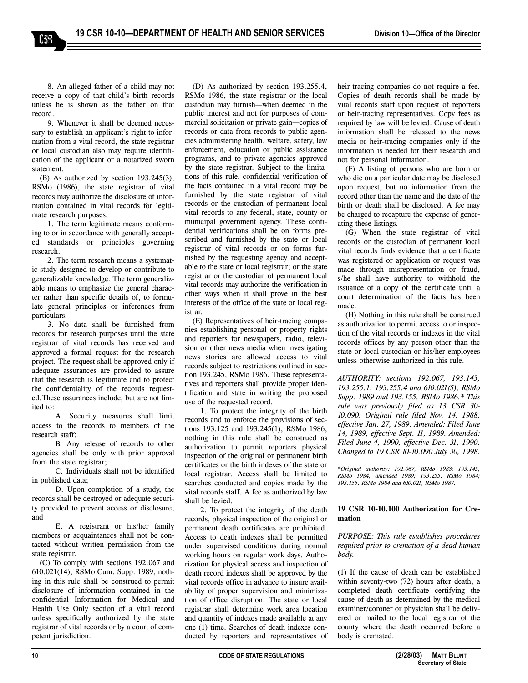8. An alleged father of a child may not receive a copy of that child's birth records unless he is shown as the father on that record.

CSS

9. Whenever it shall be deemed necessary to establish an applicant's right to information from a vital record, the state registrar or local custodian also may require identification of the applicant or a notarized sworn statement.

(B) As authorized by section 193.245(3), RSMo (1986), the state registrar of vital records may authorize the disclosure of information contained in vital records for legitimate research purposes.

1. The term legitimate means conforming to or in accordance with generally accepted standards or principles governing research.

2. The term research means a systematic study designed to develop or contribute to generalizable knowledge. The term generalizable means to emphasize the general character rather than specific details of, to formulate general principles or inferences from particulars.

3. No data shall be furnished from records for research purposes until the state registrar of vital records has received and approved a formal request for the research project. The request shall be approved only if adequate assurances are provided to assure that the research is legitimate and to protect the confidentiality of the records requested.These assurances include, but are not limited to:

A. Security measures shall limit access to the records to members of the research staff;

B. Any release of records to other agencies shall be only with prior approval from the state registrar;

C. Individuals shall not be identified in published data;

D. Upon completion of a study, the records shall be destroyed or adequate security provided to prevent access or disclosure; and

E. A registrant or his/her family members or acquaintances shall not be contacted without written permission from the state registrar.

(C) To comply with sections 192.067 and 610.021(14), RSMo Cum. Supp. 1989, nothing in this rule shall be construed to permit disclosure of information contained in the confidential Information for Medical and Health Use Only section of a vital record unless specifically authorized by the state registrar of vital records or by a court of competent jurisdiction.

(D) As authorized by section 193.255.4, RSMo 1986, the state registrar or the local custodian may furnish—when deemed in the public interest and not for purposes of commercial solicitation or private gain-copies of records or data from records to public agencies administering health, welfare, safety, law enforcement, education or public assistance programs, and to private agencies approved by the state registrar. Subject to the limitations of this rule, confidential verification of the facts contained in a vital record may be furnished by the state registrar of vital records or the custodian of permanent local vital records to any federal, state, county or municipal government agency. These confidential verifications shall be on forms prescribed and furnished by the state or local registrar of vital records or on forms furnished by the requesting agency and acceptable to the state or local registrar; or the state registrar or the custodian of permanent local vital records may authorize the verification in other ways when it shall prove in the best interests of the office of the state or local registrar.

(E) Representatives of heir-tracing companies establishing personal or property rights and reporters for newspapers, radio, television or other news media when investigating news stories are allowed access to vital records subject to restrictions outlined in section 193.245, RSMo 1986. These representatives and reporters shall provide proper identification and state in writing the proposed use of the requested record.

1. To protect the integrity of the birth records and to enforce the provisions of sections 193.125 and 193.245(1), RSMo 1986, nothing in this rule shall be construed as authorization to permit reporters physical inspection of the original or permanent birth certificates or the birth indexes of the state or local registrar. Access shall be limited to searches conducted and copies made by the vital records staff. A fee as authorized by law shall be levied.

2. To protect the integrity of the death records, physical inspection of the original or permanent death certificates are prohibited. Access to death indexes shall be permitted under supervised conditions during normal working hours on regular work days. Authorization for physical access and inspection of death record indexes shall be approved by the vital records office in advance to insure availability of proper supervision and minimization of office disruption. The state or local registrar shall determine work area location and quantity of indexes made available at any one (1) time. Searches of death indexes conducted by reporters and representatives of

heir-tracing companies do not require a fee. Copies of death records shall be made by vital records staff upon request of reporters or heir-tracing representatives. Copy fees as required by law will be levied. Cause of death information shall be released to the news media or heir-tracing companies only if the information is needed for their research and not for personal information.

(F) A listing of persons who are born or who die on a particular date may be disclosed upon request, but no information from the record other than the name and the date of the birth or death shall be disclosed. A fee may be charged to recapture the expense of generating these listings.

(G) When the state registrar of vital records or the custodian of permanent local vital records finds evidence that a certificate was registered or application or request was made through misrepresentation or fraud, s/he shall have authority to withhold the issuance of a copy of the certificate until a court determination of the facts has been made.

(H) Nothing in this rule shall be construed as authorization to permit access to or inspection of the vital records or indexes in the vital records offices by any person other than the state or local custodian or his/her employees unless otherwise authorized in this rule.

*AUTHORITY: sections 192.067, 193.145, 193.255.1, 193.255.4 and 610.021(5), RSMo Supp. 1989 and 193.155, RSMo 1986.\* This rule was previously filed as 13 CSR 30- 10.090. Original rule filed Nov. 14. 1988, effective Jan. 27, 1989. Amended: Filed June 14, 1989, effective Sept. 11, 1989. Amended: Filed June 4, 1990, effective Dec. 31, 1990. Changed to 19 CSR 10-10.090 July 30, 1998.*

*\*Original authority: 192.067, RSMo 1988; 193.145, RSMo 1984, amended 1989; 193.255, RSMo 1984; 193.155, RSMo 1984 and 610.021, RSMo 1987.*

## **19 CSR 10-10.100 Authorization for Cremation**

*PURPOSE: This rule establishes procedures required prior to cremation of a dead human body.* 

(1) If the cause of death can be established within seventy-two (72) hours after death, a completed death certificate certifying the cause of death as determined by the medical examiner/coroner or physician shall be delivered or mailed to the local registrar of the county where the death occurred before a body is cremated.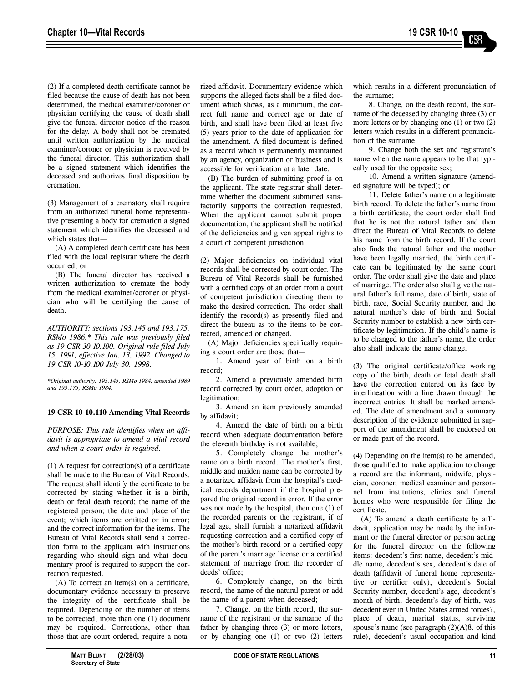(2) If a completed death certificate cannot be filed because the cause of death has not been determined, the medical examiner/coroner or physician certifying the cause of death shall give the funeral director notice of the reason for the delay. A body shall not be cremated until written authorization by the medical examiner/coroner or physician is received by the funeral director. This authorization shall be a signed statement which identifies the deceased and authorizes final disposition by cremation.

(3) Management of a crematory shall require from an authorized funeral home representative presenting a body for cremation a signed statement which identifies the deceased and which states that-

(A) A completed death certificate has been filed with the local registrar where the death occurred; or

(B) The funeral director has received a written authorization to cremate the body from the medical examiner/coroner or physician who will be certifying the cause of death.

*AUTHORITY: sections 193.145 and 193.175, RSMo 1986.\* This rule was previously filed as 19 CSR 30-10.100. Original rule filed July 15, 1991, effective Jan. 13, 1992. Changed to 19 CSR 10-10.100 July 30, 1998.*

*\*Original authority: 193.145, RSMo 1984, amended 1989 and 193.175, RSMo 1984.*

# **19 CSR 10-10.110 Amending Vital Records**

*PURPOSE: This rule identifies when an affidavit is appropriate to amend a vital record and when a court order is required.* 

(1) A request for correction(s) of a certificate shall be made to the Bureau of Vital Records. The request shall identify the certificate to be corrected by stating whether it is a birth, death or fetal death record; the name of the registered person; the date and place of the event; which items are omitted or in error; and the correct information for the items. The Bureau of Vital Records shall send a correction form to the applicant with instructions regarding who should sign and what documentary proof is required to support the correction requested.

(A) To correct an item(s) on a certificate, documentary evidence necessary to preserve the integrity of the certificate shall be required. Depending on the number of items to be corrected, more than one (1) document may be required. Corrections, other than those that are court ordered, require a notarized affidavit. Documentary evidence which supports the alleged facts shall be a filed document which shows, as a minimum, the correct full name and correct age or date of birth, and shall have been filed at least five (5) years prior to the date of application for the amendment. A filed document is defined as a record which is permanently maintained by an agency, organization or business and is accessible for verification at a later date.

(B) The burden of submitting proof is on the applicant. The state registrar shall determine whether the document submitted satisfactorily supports the correction requested. When the applicant cannot submit proper documentation, the applicant shall be notified of the deficiencies and given appeal rights to a court of competent jurisdiction.

(2) Major deficiencies on individual vital records shall be corrected by court order. The Bureau of Vital Records shall be furnished with a certified copy of an order from a court of competent jurisdiction directing them to make the desired correction. The order shall identify the record(s) as presently filed and direct the bureau as to the items to be corrected, amended or changed.

(A) Major deficiencies specifically requiring a court order are those that—

1. Amend year of birth on a birth record;

2. Amend a previously amended birth record corrected by court order, adoption or legitimation;

3. Amend an item previously amended by affidavit;

4. Amend the date of birth on a birth record when adequate documentation before the eleventh birthday is not available;

5. Completely change the mother's name on a birth record. The mother's first, middle and maiden name can be corrected by a notarized affidavit from the hospital's medical records department if the hospital prepared the original record in error. If the error was not made by the hospital, then one (1) of the recorded parents or the registrant, if of legal age, shall furnish a notarized affidavit requesting correction and a certified copy of the mother's birth record or a certified copy of the parent's marriage license or a certified statement of marriage from the recorder of deeds' office:

6. Completely change, on the birth record, the name of the natural parent or add the name of a parent when deceased;

7. Change, on the birth record, the surname of the registrant or the surname of the father by changing three (3) or more letters, or by changing one (1) or two (2) letters which results in a different pronunciation of the surname;

8. Change, on the death record, the surname of the deceased by changing three (3) or more letters or by changing one (1) or two (2) letters which results in a different pronunciation of the surname;

9. Change both the sex and registrant's name when the name appears to be that typically used for the opposite sex;

10. Amend a written signature (amended signature will be typed); or

11. Delete father's name on a legitimate birth record. To delete the father's name from a birth certificate, the court order shall find that he is not the natural father and then direct the Bureau of Vital Records to delete his name from the birth record. If the court also finds the natural father and the mother have been legally married, the birth certificate can be legitimated by the same court order. The order shall give the date and place of marriage. The order also shall give the natural father's full name, date of birth, state of birth, race, Social Security number, and the natural mother's date of birth and Social Security number to establish a new birth certificate by legitimation. If the child's name is to be changed to the father's name, the order also shall indicate the name change.

(3) The original certificate/office working copy of the birth, death or fetal death shall have the correction entered on its face by interlineation with a line drawn through the incorrect entries. It shall be marked amended. The date of amendment and a summary description of the evidence submitted in support of the amendment shall be endorsed on or made part of the record.

(4) Depending on the item(s) to be amended, those qualified to make application to change a record are the informant, midwife, physician, coroner, medical examiner and personnel from institutions, clinics and funeral homes who were responsible for filing the certificate.

(A) To amend a death certificate by affidavit, application may be made by the informant or the funeral director or person acting for the funeral director on the following items: decedent's first name, decedent's middle name, decedent's sex, decedent's date of death (affidavit of funeral home representative or certifier only), decedent's Social Security number, decedent's age, decedent's month of birth, decedent's day of birth, was decedent ever in United States armed forces?, place of death, marital status, surviving spouse's name (see paragraph  $(2)(A)8$ . of this rule), decedent's usual occupation and kind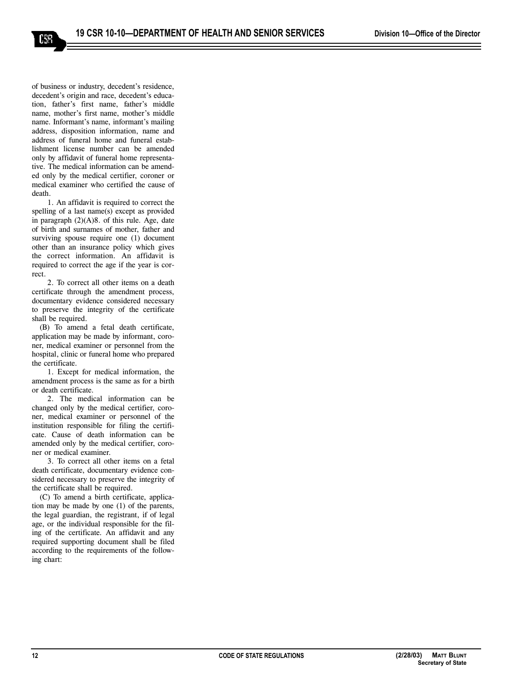of business or industry, decedent's residence, decedent's origin and race, decedent's education, father's first name, father's middle name, mother's first name, mother's middle name. Informant's name, informant's mailing address, disposition information, name and address of funeral home and funeral establishment license number can be amended only by affidavit of funeral home representative. The medical information can be amended only by the medical certifier, coroner or medical examiner who certified the cause of death.

ISS

1. An affidavit is required to correct the spelling of a last name(s) except as provided in paragraph  $(2)(A)8$ . of this rule. Age, date of birth and surnames of mother, father and surviving spouse require one (1) document other than an insurance policy which gives the correct information. An affidavit is required to correct the age if the year is correct.

2. To correct all other items on a death certificate through the amendment process, documentary evidence considered necessary to preserve the integrity of the certificate shall be required.

(B) To amend a fetal death certificate, application may be made by informant, coroner, medical examiner or personnel from the hospital, clinic or funeral home who prepared the certificate.

1. Except for medical information, the amendment process is the same as for a birth or death certificate.

2. The medical information can be changed only by the medical certifier, coroner, medical examiner or personnel of the institution responsible for filing the certificate. Cause of death information can be amended only by the medical certifier, coroner or medical examiner.

3. To correct all other items on a fetal death certificate, documentary evidence considered necessary to preserve the integrity of the certificate shall be required.

(C) To amend a birth certificate, application may be made by one (1) of the parents, the legal guardian, the registrant, if of legal age, or the individual responsible for the filing of the certificate. An affidavit and any required supporting document shall be filed according to the requirements of the following chart: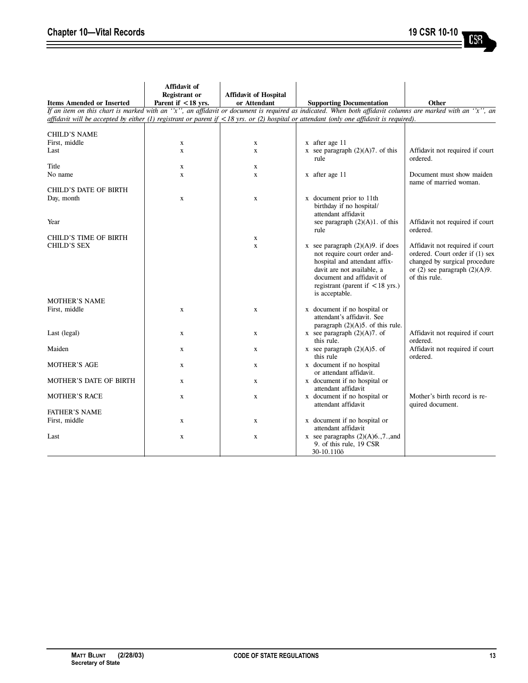| <b>Items Amended or Inserted</b> | Affidavit of<br><b>Registrant</b> or<br>Parent if <18 yrs. | <b>Affidavit of Hospital</b><br>or Attendant | <b>Supporting Documentation</b>                                                                                                                                                                                                       | Other                                                                                                                                                      |
|----------------------------------|------------------------------------------------------------|----------------------------------------------|---------------------------------------------------------------------------------------------------------------------------------------------------------------------------------------------------------------------------------------|------------------------------------------------------------------------------------------------------------------------------------------------------------|
|                                  |                                                            |                                              | If an item on this chart is marked with an 'x', an affidavit or document is required as indicated. When both affidavit columns are marked with an 'x', an                                                                             |                                                                                                                                                            |
|                                  |                                                            |                                              | affidavit will be accepted by either (1) registrant or parent if $\langle 18 \rangle$ yrs. or (2) hospital or attendant (only one affidavit is required).                                                                             |                                                                                                                                                            |
|                                  |                                                            |                                              |                                                                                                                                                                                                                                       |                                                                                                                                                            |
| CHILD'S NAME                     |                                                            |                                              |                                                                                                                                                                                                                                       |                                                                                                                                                            |
| First, middle                    | X                                                          | X                                            | x after age 11                                                                                                                                                                                                                        |                                                                                                                                                            |
| Last                             | $\mathbf x$                                                | $\mathbf x$                                  | x see paragraph $(2)(A)7$ . of this<br>rule                                                                                                                                                                                           | Affidavit not required if court<br>ordered.                                                                                                                |
| Title                            | $\mathbf x$                                                | X                                            |                                                                                                                                                                                                                                       |                                                                                                                                                            |
| No name                          | $\mathbf x$                                                | X                                            | x after age 11                                                                                                                                                                                                                        | Document must show maiden<br>name of married woman.                                                                                                        |
| <b>CHILD'S DATE OF BIRTH</b>     |                                                            |                                              |                                                                                                                                                                                                                                       |                                                                                                                                                            |
| Day, month<br>Year               | $\mathbf X$                                                | $\mathbf X$                                  | x document prior to 11th<br>birthday if no hospital/<br>attendant affidavit<br>see paragraph $(2)(A)1$ . of this                                                                                                                      | Affidavit not required if court                                                                                                                            |
|                                  |                                                            |                                              | rule                                                                                                                                                                                                                                  | ordered.                                                                                                                                                   |
| CHILD'S TIME OF BIRTH            |                                                            | X                                            |                                                                                                                                                                                                                                       |                                                                                                                                                            |
| <b>CHILD'S SEX</b>               |                                                            | $\mathbf x$                                  | x see paragraph $(2)(A)9$ . if does<br>not require court order and-<br>hospital and attendant affix-<br>davit are not available, a<br>document and affidavit of<br>registrant (parent if $\langle 18 \rangle$ yrs.)<br>is acceptable. | Affidavit not required if court<br>ordered. Court order if (1) sex<br>changed by surgical procedure<br>or $(2)$ see paragraph $(2)(A)9$ .<br>of this rule. |
| <b>MOTHER'S NAME</b>             |                                                            |                                              |                                                                                                                                                                                                                                       |                                                                                                                                                            |
| First, middle                    | X                                                          | X                                            | x document if no hospital or<br>attendant's affidavit. See<br>paragraph $(2)(A)5$ . of this rule.                                                                                                                                     |                                                                                                                                                            |
| Last (legal)                     | $\mathbf X$                                                | X                                            | x see paragraph $(2)(A)7$ . of<br>this rule.                                                                                                                                                                                          | Affidavit not required if court<br>ordered.                                                                                                                |
| Maiden                           | $\mathbf x$                                                | X                                            | x see paragraph $(2)(A)5$ . of<br>this rule                                                                                                                                                                                           | Affidavit not required if court<br>ordered.                                                                                                                |
| <b>MOTHER'S AGE</b>              | $\mathbf X$                                                | X                                            | x document if no hospital<br>or attendant affidavit.                                                                                                                                                                                  |                                                                                                                                                            |
| MOTHER'S DATE OF BIRTH           | $\mathbf x$                                                | X                                            | x document if no hospital or<br>attendant affidavit                                                                                                                                                                                   |                                                                                                                                                            |
| <b>MOTHER'S RACE</b>             | $\mathbf x$                                                | $\mathbf x$                                  | x document if no hospital or<br>attendant affidavit                                                                                                                                                                                   | Mother's birth record is re-<br>quired document.                                                                                                           |
| <b>FATHER'S NAME</b>             |                                                            |                                              |                                                                                                                                                                                                                                       |                                                                                                                                                            |
| First, middle                    | $\mathbf x$                                                | X                                            | x document if no hospital or<br>attendant affidavit                                                                                                                                                                                   |                                                                                                                                                            |
| Last                             | X                                                          | X                                            | x see paragraphs $(2)(A)6.7$ , and<br>9. of this rule, 19 CSR<br>30-10.110õ                                                                                                                                                           |                                                                                                                                                            |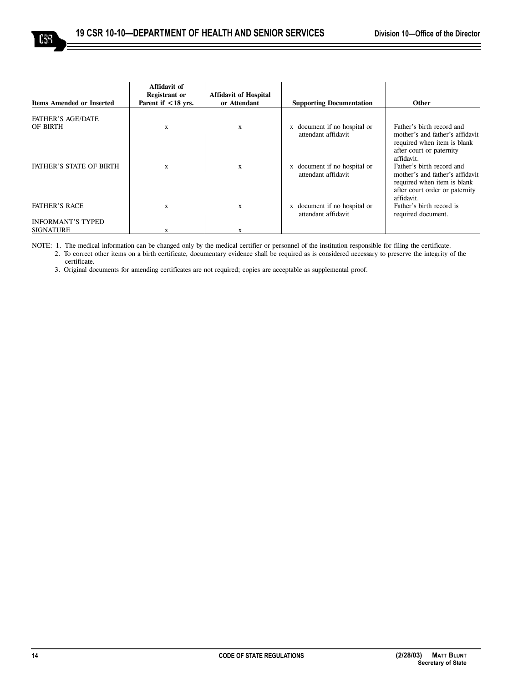| <b>Items Amended or Inserted</b>                 | Affidavit of<br><b>Registrant or</b><br>Parent if $<$ 18 vrs. | <b>Affidavit of Hospital</b><br>or Attendant | <b>Supporting Documentation</b>                     | <b>Other</b>                                                                                                                                                            |
|--------------------------------------------------|---------------------------------------------------------------|----------------------------------------------|-----------------------------------------------------|-------------------------------------------------------------------------------------------------------------------------------------------------------------------------|
| <b>FATHER'S AGE/DATE</b><br>OF BIRTH             | X                                                             | X                                            | x document if no hospital or<br>attendant affidavit | Father's birth record and<br>mother's and father's affidavit<br>required when item is blank                                                                             |
| <b>FATHER'S STATE OF BIRTH</b>                   | X                                                             | X                                            | x document if no hospital or<br>attendant affidavit | after court or paternity<br>affidavit.<br>Father's birth record and<br>mother's and father's affidavit<br>required when item is blank<br>after court order or paternity |
| <b>FATHER'S RACE</b><br><b>INFORMANT'S TYPED</b> | X                                                             | X                                            | x document if no hospital or<br>attendant affidavit | affidavit.<br>Father's birth record is<br>required document.                                                                                                            |
| <b>SIGNATURE</b>                                 | X                                                             | X                                            |                                                     |                                                                                                                                                                         |

NOTE: 1. The medical information can be changed only by the medical certifier or personnel of the institution responsible for filing the certificate. 2. To correct other items on a birth certificate, documentary evidence shall be required as is considered necessary to preserve the integrity of the certificate.

3. Original documents for amending certificates are not required; copies are acceptable as supplemental proof.

 $\operatorname{6S}$